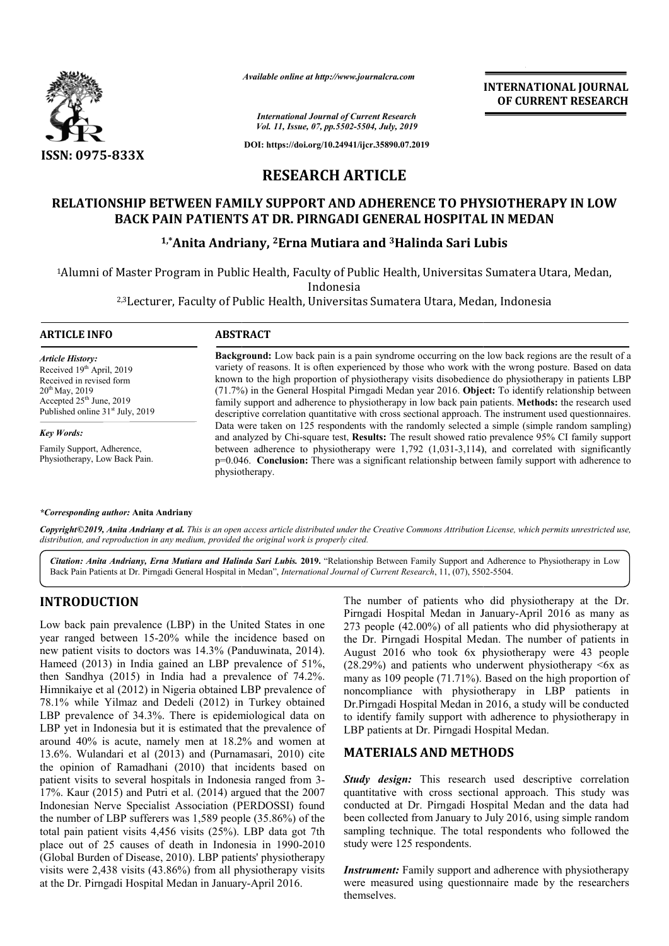

*Available online at http://www.journalcra.com*

**INTERNATIONAL JOURNAL OF CURRENT RESEARCH**

*International Journal of Current Research Vol. 11, Issue, 07, pp.5502-5504, July, 2019*

**DOI: https://doi.org/10.24941/ijcr.35890.07.2019**

# **RESEARCH ARTICLE**

## RELATIONSHIP BETWEEN FAMILY SUPPORT AND ADHERENCE TO PHYSIOTHERAPY IN LOW<br>BACK PAIN PATIENTS AT DR. PIRNGADI GENERAL HOSPITAL IN MEDAN **BACK PAIN PATIENTS AT DR. PIRNGADI GENERAL HOSPITAL IN**

## <sup>1,\*</sup>Anita Andriany, <sup>2</sup>Erna Mutiara and <sup>3</sup>Halinda Sari Lubis

<sup>1</sup>Alumni of Master Program in Public Health, Faculty of Public Health, Universitas Sumatera Utara, Medan,<br>Indonesia<br><sup>2,3</sup>Lecturer, Faculty of Public Health, Universitas Sumatera Utara, Medan, Indonesia

2,3Lecturer, Faculty of Public Health, Universitas Sumatera Utara, Medan, Lecturer,

#### **ARTICLE INFO ABSTRACT**

*Article History:* Received 19<sup>th</sup> April, 2019 Received in revised form 20th May, 2019 Accepted  $25<sup>th</sup>$  June, 2019 Published online  $31<sup>st</sup>$  July, 2019

*Key Words:* Family Support, Adherence, Physiotherapy, Low Back Pain.

**Background:** Low back pain is a pain syndrome occurring on the low back regions are the result of a variety of reasons. It is often experienced by those who work with the wrong posture. Based on data Background: Low back pain is a pain syndrome occurring on the low back regions are the result of a variety of reasons. It is often experienced by those who work with the wrong posture. Based on data known to the high propo (71.7%) in the General Hospital Pirngadi Medan year 2016. **Object:** To identify relationship between family support and adherence to physiotherapy in low back pain patients. Methods: the research used descriptive correlation quantitative with cross sectional approach. The instrument used questionnaires. Data were taken on 125 respondents with the randomly selected a simple (simple random sampling) descriptive correlation quantitative with cross sectional approach. The instrument used questionnaires.<br>Data were taken on 125 respondents with the randomly selected a simple (simple random sampling) and analyzed by Chi-sq between adherence to physiotherapy were  $1,792$  (1,031-3,114), and correlated with significantly p=0.046. p=0.046. **Conclusion:** There was a significant relationship between family support with adherence to physiotherapy.

#### *\*Corresponding author:* **Anita Andriany**

Copyright©2019, Anita Andriany et al. This is an open access article distributed under the Creative Commons Attribution License, which permits unrestricted use, *distribution, and reproduction in any medium, provided the original work is properly cited.*

Citation: Anita Andriany, Erna Mutiara and Halinda Sari Lubis. 2019. "Relationship Between Family Support and Adherence to Physiotherapy in Low Citation: Anita Andriany, Erna Mutiara and Halinda Sari Lubis. 2019. "Relationship Between Family Support and Adhere<br>Back Pain Patients at Dr. Pirngadi General Hospital in Medan", *International Journal of Current Research* 

#### **INTRODUCTION**

Low back pain prevalence (LBP) in the United States in one year ranged between 15-20% while the incidence based on year ranged between 15-20% while the incidence based on new patient visits to doctors was  $14.3\%$  (Panduwinata, 2014). Hameed (2013) in India gained an LBP prevalence of 51%, then Sandhya (2015) in India had a prevalence of 74.2%. Himnikaiye et al (2012) in Nigeria obtained LBP prevalence of 78.1% while Yilmaz and Dedeli (2012) in Turkey obtained LBP prevalence of 34.3%. There is epidemiological data on LBP yet in Indonesia but it is estimated that the prevalence of around 40% is acute, namely men at 18.2% and women at 13.6%. Wulandari et al (2013) and (Purnamasari, 2010) cite the opinion of Ramadhani (2010) that incidents based on patient visits to several hospitals in Indonesia ranged from 3 3- 17%. Kaur (2015) and Putri et al. (2014) argued that the 2007 Indonesian Nerve Specialist Association (PERDOSSI) found the number of LBP sufferers was 1,589 people (35.86%) of t the total pain patient visits 4,456 visits (25%). LBP data got 7th place out of 25 causes of death in Indonesia in 1990-2010 (Global Burden of Disease, 2010). LBP patients' physiotherapy visits were 2,438 visits (43.86%) from all physiotherapy visits at the Dr. Pirngadi Hospital Medan in January-April 2016.

The number of patients who did physiotherapy at the Dr. The number of patients who did physiotherapy at the Dr.<br>Pirngadi Hospital Medan in January-April 2016 as many as 273 people (42.00%) of all patients who did physiotherapy at the Dr. Pirngadi Hospital Medan. The number of patients in August 2016 who took 6x physiotherapy were 43 people  $(28.29\%)$  and patients who underwent physiotherapy  $\leq 6x$  as 273 people (42.00%) of all patients who did physiotherapy at the Dr. Pirngadi Hospital Medan. The number of patients in August 2016 who took 6x physiotherapy were 43 people (28.29%) and patients who underwent physiotherap noncompliance with physiotherapy in LBP patients in Dr.Pirngadi Hospital Medan in 2016, a study will be conducted to identify family support with adherence to physiotherapy in LBP patients at Dr. Pirngadi Hospital Medan. noncompliance with physiotherapy in L<br>Dr.Pirngadi Hospital Medan in 2016, a study v<br>to identify family support with adherence to<br>LBP patients at Dr. Pirngadi Hospital Medan. used correlation International Median and the data had injustion CD and the made of stepsed correlation of the material and Andre material and Andre material Dr. and Dr. data had Dr. data had Dr. data had been also the mat

#### **MATERIALS AND METHODS METHODS**

Study design: This research used descriptive correlation quantitative with cross sectional approach. This study was conducted at Dr. Pirngadi Hospital Medan and the data had been collected from January to July 2016, using simple random sampling technique. The total respondents who followed the study were 125 respondents.

*Instrument:* Family support and adherence with physiotherapy were measured using questionnaire made by the researchers themselves.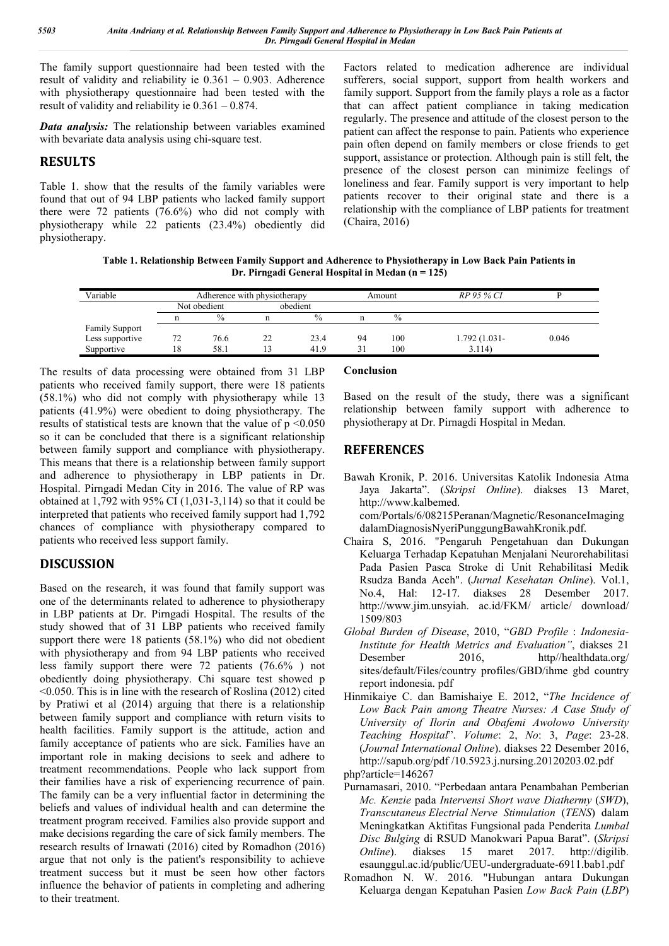The family support questionnaire had been tested with the result of validity and reliability ie 0.361 – 0.903. Adherence with physiotherapy questionnaire had been tested with the result of validity and reliability ie 0.361 – 0.874.

*Data analysis:* The relationship between variables examined with bevariate data analysis using chi-square test.

## **RESULTS**

Table 1. show that the results of the family variables were found that out of 94 LBP patients who lacked family support there were 72 patients (76.6%) who did not comply with physiotherapy while 22 patients (23.4%) obediently did physiotherapy.

Factors related to medication adherence are individual sufferers, social support, support from health workers and family support. Support from the family plays a role as a factor that can affect patient compliance in taking medication regularly. The presence and attitude of the closest person to the patient can affect the response to pain. Patients who experience pain often depend on family members or close friends to get support, assistance or protection. Although pain is still felt, the presence of the closest person can minimize feelings of loneliness and fear. Family support is very important to help patients recover to their original state and there is a relationship with the compliance of LBP patients for treatment (Chaira, 2016)

**Table 1. Relationship Between Family Support and Adherence to Physiotherapy in Low Back Pain Patients in Dr. Pirngadi General Hospital in Medan (n = 125)**

| Variable              | Adherence with physiotherapy |      |          |               | Amount |      | RP 95 % CI    |       |
|-----------------------|------------------------------|------|----------|---------------|--------|------|---------------|-------|
|                       | Not obedient                 |      | obedient |               |        |      |               |       |
|                       |                              | $\%$ |          | $\frac{0}{0}$ |        | $\%$ |               |       |
| <b>Family Support</b> |                              |      |          |               |        |      |               |       |
| Less supportive       |                              | 76.6 | 22       | 23.4          | 94     | 100  | 1.792 (1.031- | 0.046 |
| Supportive            | 18                           | 58.1 |          | 41.9          | 31     | 100  | 3.114)        |       |

The results of data processing were obtained from 31 LBP patients who received family support, there were 18 patients (58.1%) who did not comply with physiotherapy while 13 patients (41.9%) were obedient to doing physiotherapy. The results of statistical tests are known that the value of p <0.050 so it can be concluded that there is a significant relationship between family support and compliance with physiotherapy. This means that there is a relationship between family support and adherence to physiotherapy in LBP patients in Dr. Hospital. Pirngadi Medan City in 2016. The value of RP was obtained at 1,792 with 95% CI (1,031-3,114) so that it could be interpreted that patients who received family support had 1,792 chances of compliance with physiotherapy compared to patients who received less support family.

# **DISCUSSION**

Based on the research, it was found that family support was one of the determinants related to adherence to physiotherapy in LBP patients at Dr. Pirngadi Hospital. The results of the study showed that of 31 LBP patients who received family support there were 18 patients (58.1%) who did not obedient with physiotherapy and from 94 LBP patients who received less family support there were 72 patients (76.6% ) not obediently doing physiotherapy. Chi square test showed p <0.050. This is in line with the research of Roslina (2012) cited by Pratiwi et al (2014) arguing that there is a relationship between family support and compliance with return visits to health facilities. Family support is the attitude, action and family acceptance of patients who are sick. Families have an important role in making decisions to seek and adhere to treatment recommendations. People who lack support from their families have a risk of experiencing recurrence of pain. The family can be a very influential factor in determining the beliefs and values of individual health and can determine the treatment program received. Families also provide support and make decisions regarding the care of sick family members. The research results of Irnawati (2016) cited by Romadhon (2016) argue that not only is the patient's responsibility to achieve treatment success but it must be seen how other factors influence the behavior of patients in completing and adhering to their treatment.

### **Conclusion**

Based on the result of the study, there was a significant relationship between family support with adherence to physiotherapy at Dr. Pirnagdi Hospital in Medan.

## **REFERENCES**

- Bawah Kronik, P. 2016. Universitas Katolik Indonesia Atma Jaya Jakarta". (*Skripsi Online*). diakses 13 Maret, http://www.kalbemed. com/Portals/6/08215Peranan/Magnetic/ResonanceImaging dalamDiagnosisNyeriPunggungBawahKronik.pdf.
- Chaira S, 2016. "Pengaruh Pengetahuan dan Dukungan Keluarga Terhadap Kepatuhan Menjalani Neurorehabilitasi Pada Pasien Pasca Stroke di Unit Rehabilitasi Medik Rsudza Banda Aceh". (*Jurnal Kesehatan Online*). Vol.1, No.4, Hal: 12-17. diakses 28 Desember 2017. http://www.jim.unsyiah. ac.id/FKM/ article/ download/ 1509/803
- *Global Burden of Disease*, 2010, "*GBD Profile* : *Indonesia-Institute for Health Metrics and Evaluation"*, diakses 21 Desember 2016, http//healthdata.org/ sites/default/Files/country profiles/GBD/ihme gbd country report indonesia. pdf
- Hinmikaiye C. dan Bamishaiye E. 2012, "*The Incidence of Low Back Pain among Theatre Nurses: A Case Study of University of Ilorin and Obafemi Awolowo University Teaching Hospital*". *Volume*: 2, *No*: 3, *Page*: 23-28. (*Journal International Online*). diakses 22 Desember 2016, http://sapub.org/pdf /10.5923.j.nursing.20120203.02.pdf php?article=146267
- Purnamasari, 2010. "Perbedaan antara Penambahan Pemberian *Mc. Kenzie* pada *Intervensi Short wave Diathermy* (*SWD*), *Transcutaneus Electrial Nerve Stimulation* (*TENS*) dalam Meningkatkan Aktifitas Fungsional pada Penderita *Lumbal Disc Bulging* di RSUD Manokwari Papua Barat". (*Skripsi Online*). diakses 15 maret 2017. http://digilib. esaunggul.ac.id/public/UEU-undergraduate-6911.bab1.pdf
- Romadhon N. W. 2016. "Hubungan antara Dukungan Keluarga dengan Kepatuhan Pasien *Low Back Pain* (*LBP*)